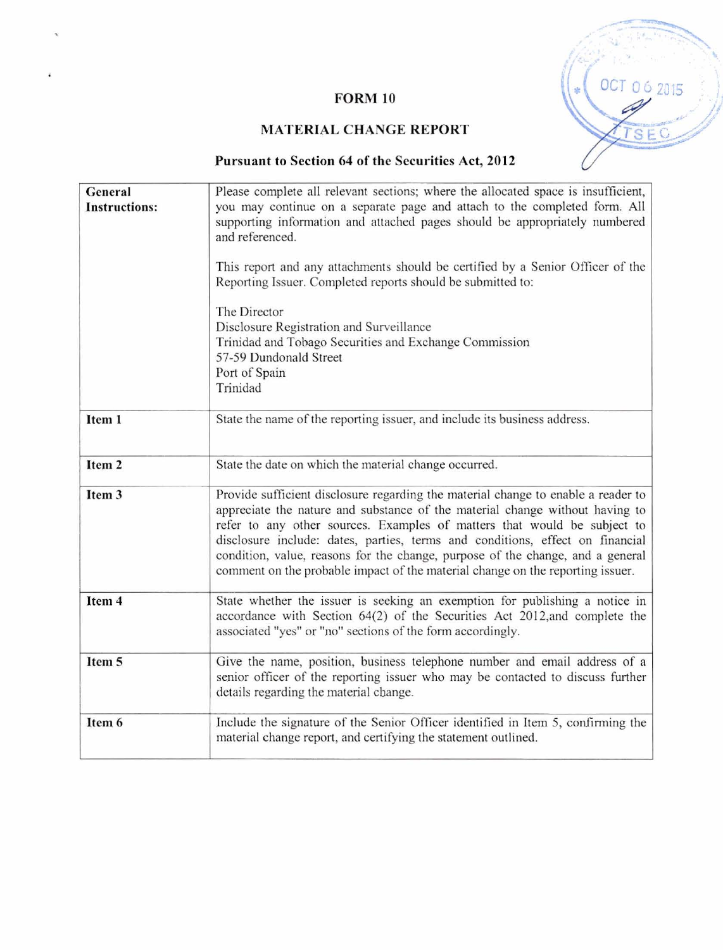

# **FORM 10**

# **MATERIAL CHANGE REPORT**

# Pursuant to Section 64 of the Securities Act, 2012

| General<br><b>Instructions:</b> | Please complete all relevant sections; where the allocated space is insufficient,<br>you may continue on a separate page and attach to the completed form. All<br>supporting information and attached pages should be appropriately numbered<br>and referenced.<br>This report and any attachments should be certified by a Senior Officer of the<br>Reporting Issuer. Completed reports should be submitted to:<br>The Director<br>Disclosure Registration and Surveillance<br>Trinidad and Tobago Securities and Exchange Commission<br>57-59 Dundonald Street<br>Port of Spain<br>Trinidad |  |
|---------------------------------|-----------------------------------------------------------------------------------------------------------------------------------------------------------------------------------------------------------------------------------------------------------------------------------------------------------------------------------------------------------------------------------------------------------------------------------------------------------------------------------------------------------------------------------------------------------------------------------------------|--|
| Item 1                          | State the name of the reporting issuer, and include its business address.                                                                                                                                                                                                                                                                                                                                                                                                                                                                                                                     |  |
| Item <sub>2</sub>               | State the date on which the material change occurred.                                                                                                                                                                                                                                                                                                                                                                                                                                                                                                                                         |  |
| Item 3                          | Provide sufficient disclosure regarding the material change to enable a reader to<br>appreciate the nature and substance of the material change without having to<br>refer to any other sources. Examples of matters that would be subject to<br>disclosure include: dates, parties, terms and conditions, effect on financial<br>condition, value, reasons for the change, purpose of the change, and a general<br>comment on the probable impact of the material change on the reporting issuer.                                                                                            |  |
| Item 4                          | State whether the issuer is seeking an exemption for publishing a notice in<br>accordance with Section 64(2) of the Securities Act 2012, and complete the<br>associated "yes" or "no" sections of the form accordingly.                                                                                                                                                                                                                                                                                                                                                                       |  |
| Item 5                          | Give the name, position, business telephone number and email address of a<br>senior officer of the reporting issuer who may be contacted to discuss further<br>details regarding the material change.                                                                                                                                                                                                                                                                                                                                                                                         |  |
| Item 6                          | Include the signature of the Senior Officer identified in Item 5, confirming the<br>material change report, and certifying the statement outlined.                                                                                                                                                                                                                                                                                                                                                                                                                                            |  |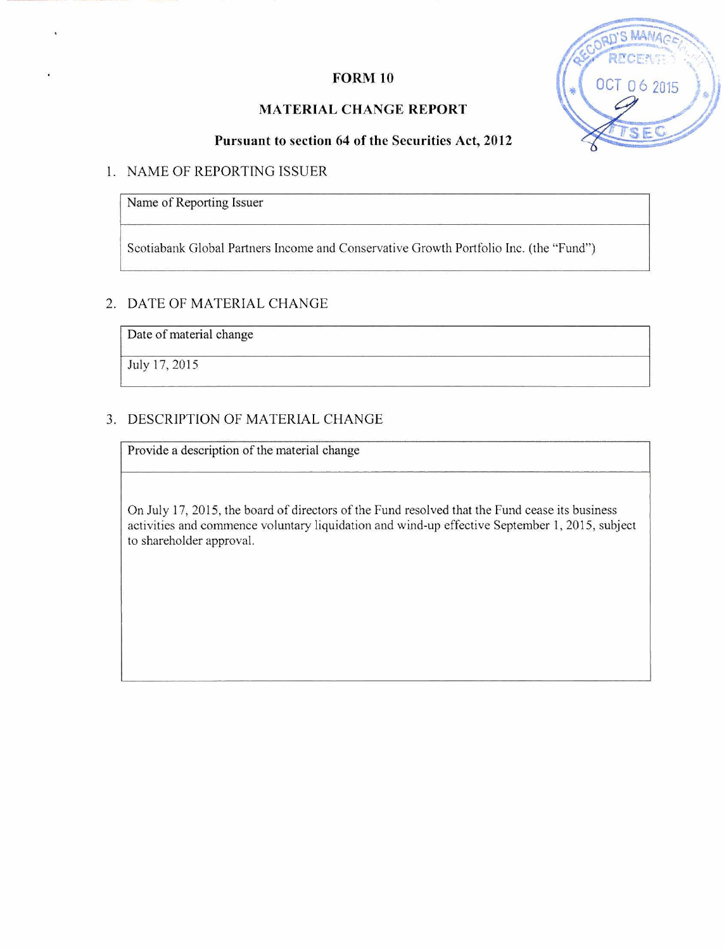### **FORM 10**

### **MATERIAL CHANGE REPORT**



### **Pursuant to section 64 of the Securities Act, 2012**

#### 1. NAME OF REPORTING ISSUER

Name of Reporting Issuer

Scotiabank Global Partners Income and Conservative Growth Portfolio Inc. (the "Fund)

#### 2. DATE OF MATERIAL CHANGE

Date of material change

July 17,2015

#### **3.** DESCRIPTION OF MATERIAL CHANGE

Provide a description of the material change

On July 17,2015, the board of directors of the Fund resolved that the Fund cease its business activities and commence voluntary liquidation and wind-up effective September 1, 2015, subject to shareholder approval.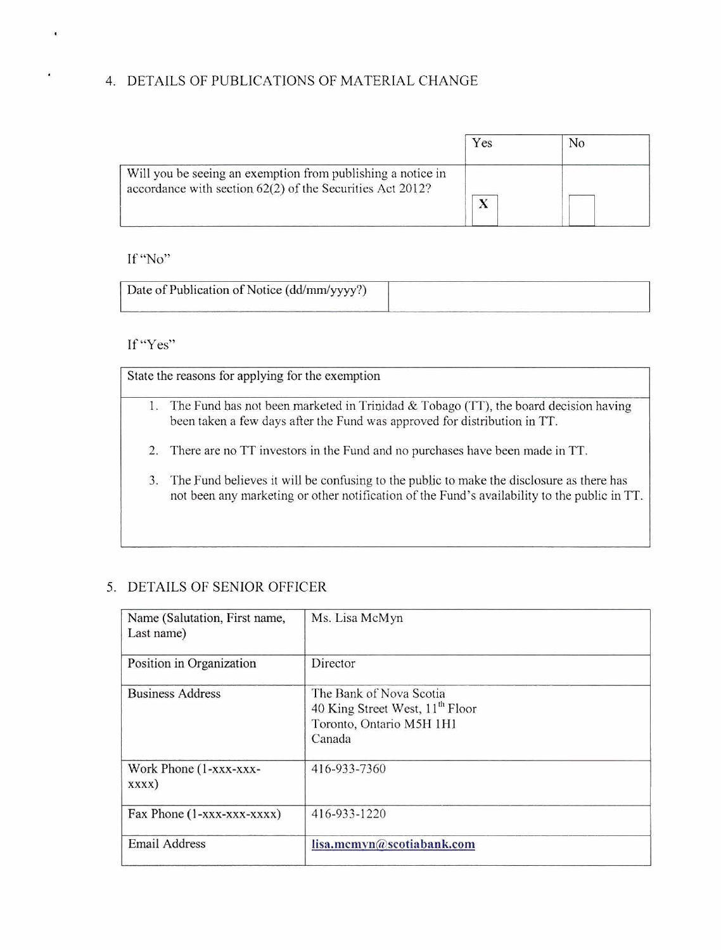# 4. DETAILS OF PUBLICATIONS OF MATERIAL CHANGE

|                                                                                                                          | Yes | No |
|--------------------------------------------------------------------------------------------------------------------------|-----|----|
| Will you be seeing an exemption from publishing a notice in<br>accordance with section 62(2) of the Securities Act 2012? |     |    |

### If "No"

 $\blacksquare$ 

 $\overline{\phantom{a}}$ 

| Date of Publication of Notice (dd/mm/yyyy?) |  |
|---------------------------------------------|--|
|                                             |  |

# If "Yes"

|    | State the reasons for applying for the exemption                                                                                                                                         |
|----|------------------------------------------------------------------------------------------------------------------------------------------------------------------------------------------|
|    | The Fund has not been marketed in Trinidad $\&$ Tobago (TT), the board decision having<br>been taken a few days after the Fund was approved for distribution in TT.                      |
| 2. | There are no TT investors in the Fund and no purchases have been made in TT.                                                                                                             |
| 3. | The Fund believes it will be confusing to the public to make the disclosure as there has<br>not been any marketing or other notification of the Fund's availability to the public in TT. |

# 5. DETAILS OF SENIOR OFFICER

|                                             | been taken a few days after the Fund was approved for distribution in TT.                                                                                                                |
|---------------------------------------------|------------------------------------------------------------------------------------------------------------------------------------------------------------------------------------------|
| 2.                                          | There are no TT investors in the Fund and no purchases have been made in TT.                                                                                                             |
| 3.                                          | The Fund believes it will be confusing to the public to make the disclosure as there has<br>not been any marketing or other notification of the Fund's availability to the public in TT. |
| DETAILS OF SENIOR OFFICER                   |                                                                                                                                                                                          |
| Name (Salutation, First name,<br>Last name) | Ms. Lisa McMyn                                                                                                                                                                           |
| Position in Organization                    | Director                                                                                                                                                                                 |
| <b>Business Address</b>                     | The Bank of Nova Scotia<br>40 King Street West, 11 <sup>th</sup> Floor<br>Toronto, Ontario M5H 1H1<br>Canada                                                                             |
| Work Phone (1-xxx-xxx-<br>xxxx)             | 416-933-7360                                                                                                                                                                             |
| Fax Phone (1-xxx-xxx-xxxx)                  | 416-933-1220                                                                                                                                                                             |
| Email Address                               | lisa.mcmyn@scotiabank.com                                                                                                                                                                |